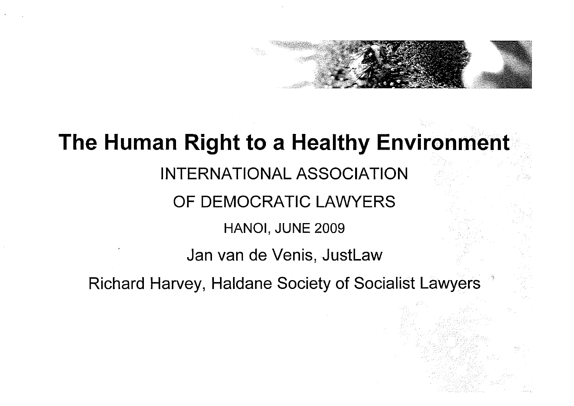#### **The Human Right to a Healthy Environment**

#### INTERNATIONAL ASSOCIATION

#### OF DEMOCRATIC LAWYERS

#### HANOI, JUNE 2009

#### Jan van de Venis, JustLaw

Richard Harvey, Haldane Society of Socialist Lawyers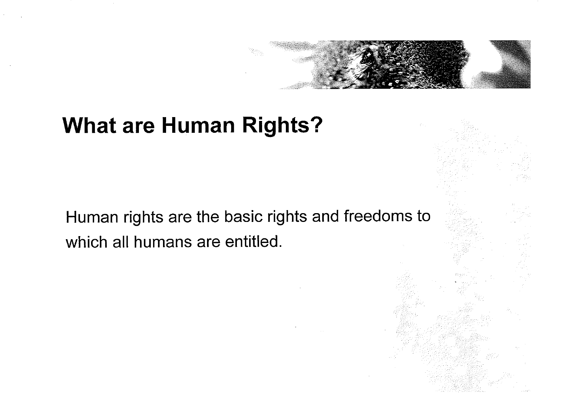

#### **What are Human Rights?**

Human rights are the basic rights and freedoms to which all humans are entitled.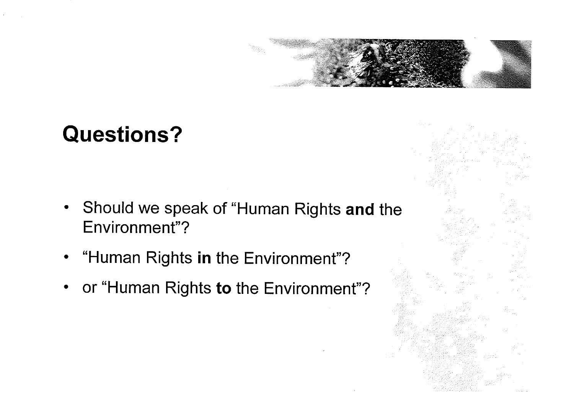

#### **Questions?**

- Should we speak of "Human Rights **and** the  $\bullet$ Environment"?
- "Human Rights **in** the Environment"?  $\bullet$
- or "Human Rights to the Environment"?  $\bullet$

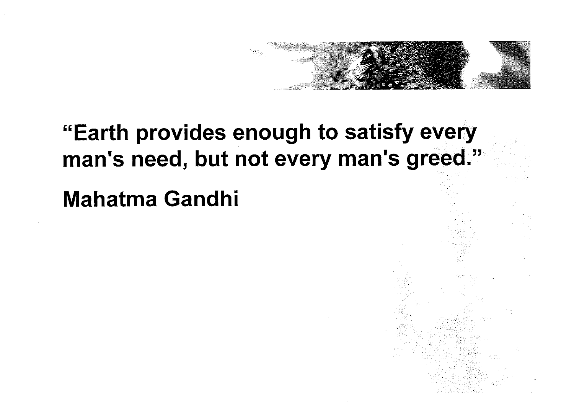

# **"Earth provides enough to satisfy every**  man's need, but not every man's greed."

**Mahatma Gandhi**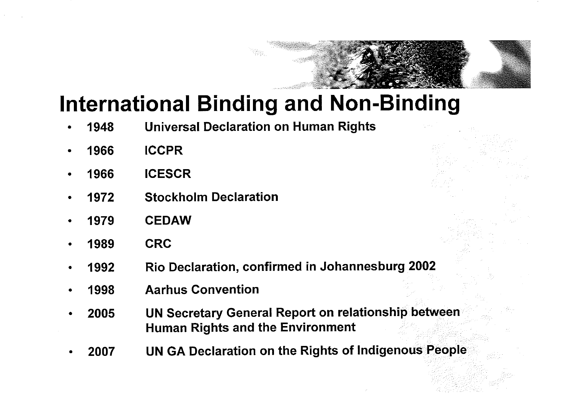#### **International Binding and Non-Binding**

- **Universal Declaration on Human Rights**  1948
- 1966 **ICCPR**
- 1966 **ICESCR**
- **Stockholm Declaration**  1972
- **CEDAW**  1979
- **CRC**  1989
- **Rio Declaration, confirmed in Johannesburg 2002**  1992
- **Aarhus Convention**  1998
- **UN Secretary General Report on relationship between** 2005 **Human Rights and the Environment**
- **UN GA Declaration on the Rights of Indigenous People** 2007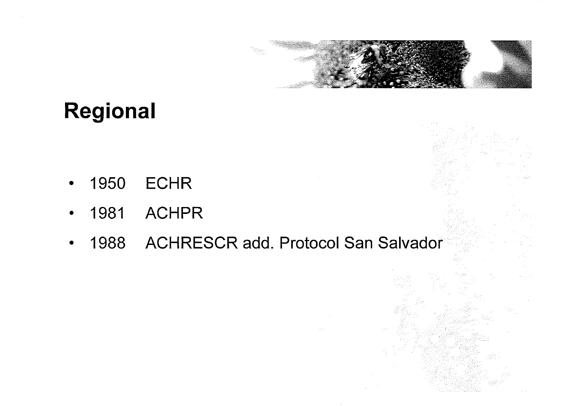

### **Regional**

- 1950 ECHR  $\bullet$
- 1981 ACHPR  $\bullet$
- 1988 ACHRESCR add. Protocol San Salvador  $\bullet$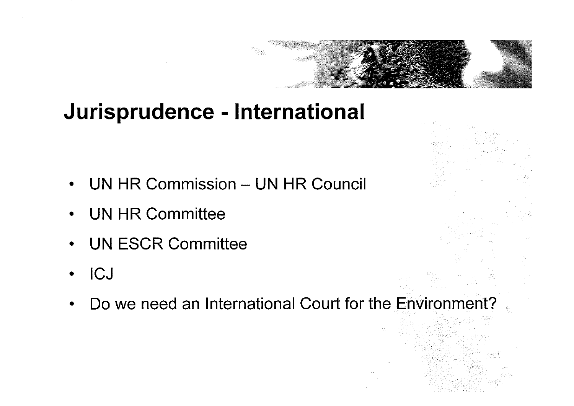# **Jurisprudence** - **International**

- UN HR Commission UN HR Council
- UN HR Committee
- UN ESCR Committee
- ICJ  $\bullet$
- Do we need an International Court for the Environment?

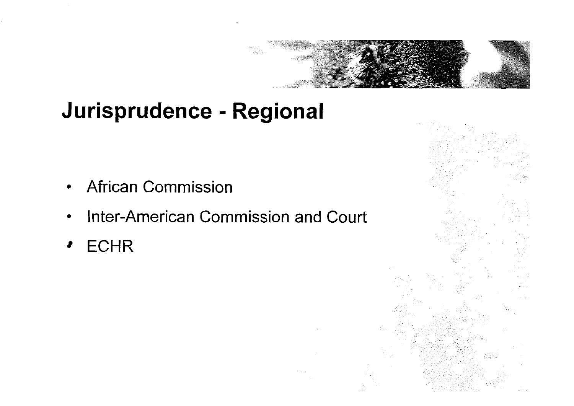# **Jurisprudence** = **Regional**

- African Commission
- Inter-American Commission and Court
- **ECHR**  $\bullet$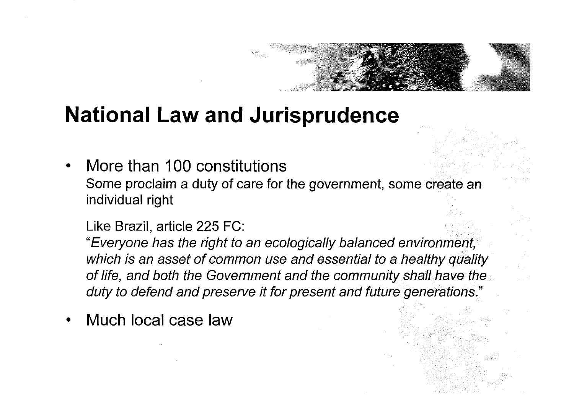# **National Law and Jurisprudence**

More than 100 constitutions Some proclaim a duty of care for the government, some create an individual right

Like Brazil, article 225 FC:

"Everyone has the right to an ecologically balanced environ which is an asset of common use and essential to a healthy quality of life, and both the Government and the community shall have the duty to defend and preserve it for present and future generations."

Much local case law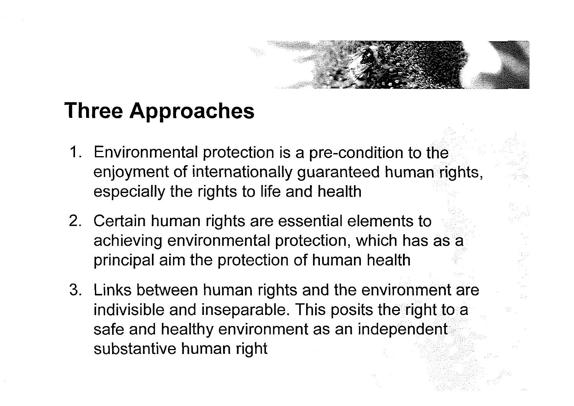# **Three Approaches**

- 1. Environmental protection is a pre-condition to the enjoyment of internationally guaranteed human rights, especially the rights to life and health
- Certain human rights are essential elements to achieving environmental protection, which has as a principal aim the protection of human health
- Links between human rights and the environment are indivisible and inseparable. This posits the right to a safe and healthy environment as an independent substantive human right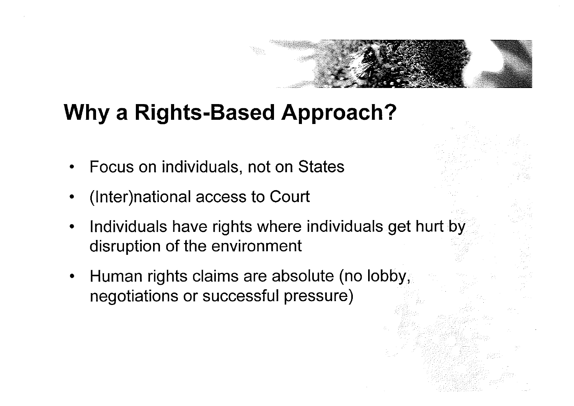### **Why a Rights-Based Approach?**

- Focus on individuals, not on States
- (1nter)national access to Court
- Individuals have rights where individuals get hurt by disruption of the environment
- Human rights claims are absolute (no lobby, negotiations or successful pressure)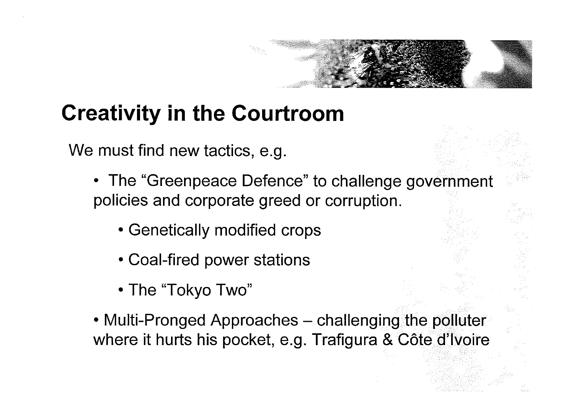# **Creativity in the Courtroom**

We must find new tactics, e.g.

- The "Greenpeace Defence" to challenge government policies and corporate greed or corruption.
	- Genetically modified crops
	- Coal-fired power stations
	- The "Tokyo Two"
- Multi-Pronged Approaches challenging the polluter where it hurts his pocket, e.g. Trafigura & Côte d'Ivoire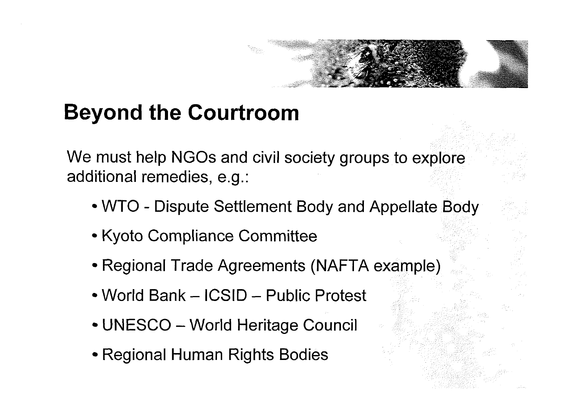# **Beyond the Courtroom**

We must help NGOs and civil society groups to explore additional remedies, e.g.:

- WTO Dispute Settlement Body and Appellate Body
- Kyoto Compliance Committee
- Regional Trade Agreements (NAFTA example)
- World Bank ICSID Public Protest
- UNESCO World Heritage Council
- Regional Human Rights Bodies